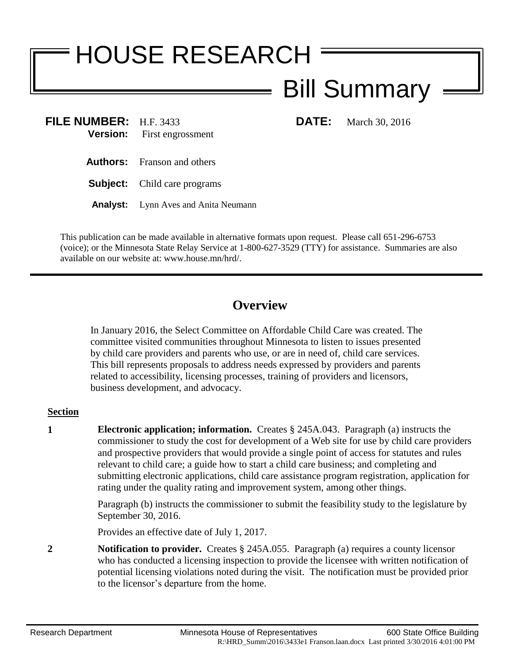# HOUSE RESEARCH

## Bill Summary

**FILE NUMBER:** H.F. 3433 **DATE:** March 30, 2016 **Version:** First engrossment

- **Authors:** Franson and others
- **Subject:** Child care programs
- **Analyst:** Lynn Aves and Anita Neumann

This publication can be made available in alternative formats upon request. Please call 651-296-6753 (voice); or the Minnesota State Relay Service at 1-800-627-3529 (TTY) for assistance. Summaries are also available on our website at: www.house.mn/hrd/.

### **Overview**

In January 2016, the Select Committee on Affordable Child Care was created. The committee visited communities throughout Minnesota to listen to issues presented by child care providers and parents who use, or are in need of, child care services. This bill represents proposals to address needs expressed by providers and parents related to accessibility, licensing processes, training of providers and licensors, business development, and advocacy.

#### **Section**

**1 Electronic application; information.** Creates § 245A.043. Paragraph (a) instructs the commissioner to study the cost for development of a Web site for use by child care providers and prospective providers that would provide a single point of access for statutes and rules relevant to child care; a guide how to start a child care business; and completing and submitting electronic applications, child care assistance program registration, application for rating under the quality rating and improvement system, among other things.

> Paragraph (b) instructs the commissioner to submit the feasibility study to the legislature by September 30, 2016.

Provides an effective date of July 1, 2017.

**2 Notification to provider.** Creates § 245A.055. Paragraph (a) requires a county licensor who has conducted a licensing inspection to provide the licensee with written notification of potential licensing violations noted during the visit. The notification must be provided prior to the licensor's departure from the home.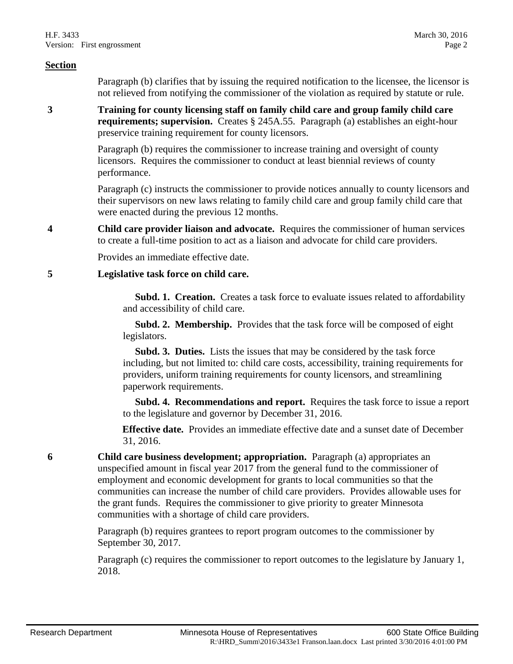#### **Section**

Paragraph (b) clarifies that by issuing the required notification to the licensee, the licensor is not relieved from notifying the commissioner of the violation as required by statute or rule.

**3 Training for county licensing staff on family child care and group family child care requirements; supervision.** Creates § 245A.55. Paragraph (a) establishes an eight-hour preservice training requirement for county licensors.

> Paragraph (b) requires the commissioner to increase training and oversight of county licensors. Requires the commissioner to conduct at least biennial reviews of county performance.

Paragraph (c) instructs the commissioner to provide notices annually to county licensors and their supervisors on new laws relating to family child care and group family child care that were enacted during the previous 12 months.

**4 Child care provider liaison and advocate.** Requires the commissioner of human services to create a full-time position to act as a liaison and advocate for child care providers.

Provides an immediate effective date.

#### **5 Legislative task force on child care.**

**Subd. 1. Creation.** Creates a task force to evaluate issues related to affordability and accessibility of child care.

 **Subd. 2. Membership.** Provides that the task force will be composed of eight legislators.

 **Subd. 3. Duties.** Lists the issues that may be considered by the task force including, but not limited to: child care costs, accessibility, training requirements for providers, uniform training requirements for county licensors, and streamlining paperwork requirements.

 **Subd. 4. Recommendations and report.** Requires the task force to issue a report to the legislature and governor by December 31, 2016.

**Effective date.** Provides an immediate effective date and a sunset date of December 31, 2016.

**6 Child care business development; appropriation.** Paragraph (a) appropriates an unspecified amount in fiscal year 2017 from the general fund to the commissioner of employment and economic development for grants to local communities so that the communities can increase the number of child care providers. Provides allowable uses for the grant funds. Requires the commissioner to give priority to greater Minnesota communities with a shortage of child care providers.

> Paragraph (b) requires grantees to report program outcomes to the commissioner by September 30, 2017.

Paragraph (c) requires the commissioner to report outcomes to the legislature by January 1, 2018.